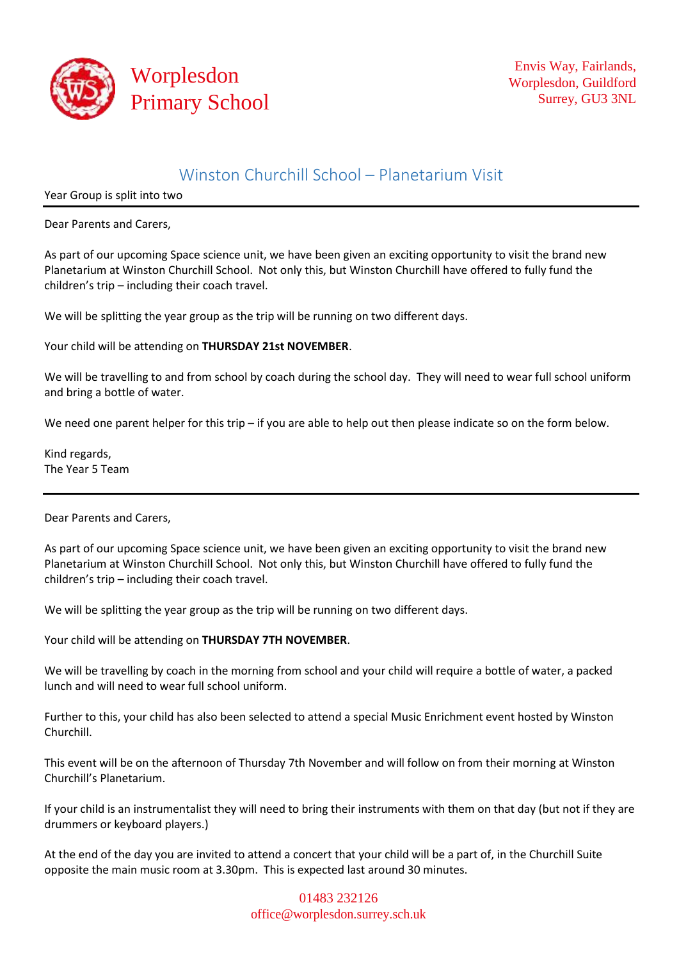

## Winston Churchill School – Planetarium Visit

Year Group is split into two

Dear Parents and Carers,

As part of our upcoming Space science unit, we have been given an exciting opportunity to visit the brand new Planetarium at Winston Churchill School. Not only this, but Winston Churchill have offered to fully fund the children's trip – including their coach travel.

We will be splitting the year group as the trip will be running on two different days.

Your child will be attending on **THURSDAY 21st NOVEMBER**.

We will be travelling to and from school by coach during the school day. They will need to wear full school uniform and bring a bottle of water.

We need one parent helper for this trip – if you are able to help out then please indicate so on the form below.

Kind regards, The Year 5 Team

Dear Parents and Carers,

As part of our upcoming Space science unit, we have been given an exciting opportunity to visit the brand new Planetarium at Winston Churchill School. Not only this, but Winston Churchill have offered to fully fund the children's trip – including their coach travel.

We will be splitting the year group as the trip will be running on two different days.

Your child will be attending on **THURSDAY 7TH NOVEMBER**.

We will be travelling by coach in the morning from school and your child will require a bottle of water, a packed lunch and will need to wear full school uniform.

Further to this, your child has also been selected to attend a special Music Enrichment event hosted by Winston Churchill.

This event will be on the afternoon of Thursday 7th November and will follow on from their morning at Winston Churchill's Planetarium.

If your child is an instrumentalist they will need to bring their instruments with them on that day (but not if they are drummers or keyboard players.)

At the end of the day you are invited to attend a concert that your child will be a part of, in the Churchill Suite opposite the main music room at 3.30pm. This is expected last around 30 minutes.

> 01483 232126 [office@worplesdon.surrey.sch.uk](mailto:office@worplesdon.surrey.sch.uk)